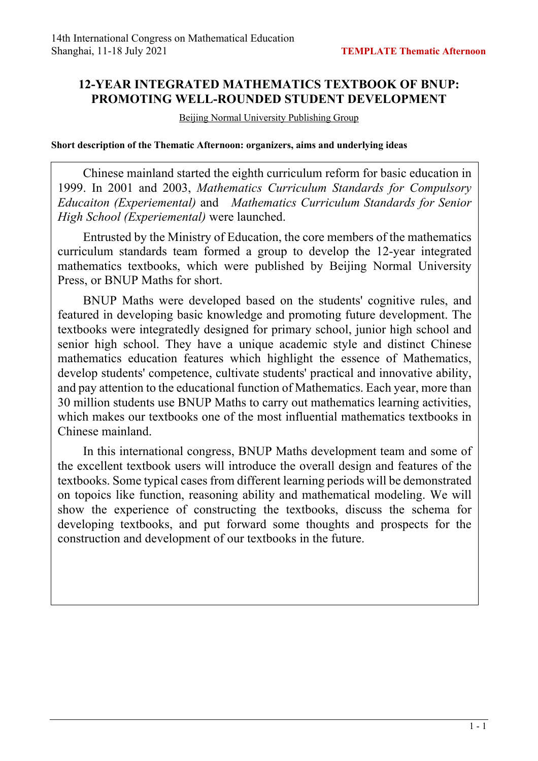## **12-YEAR INTEGRATED MATHEMATICS TEXTBOOK OF BNUP: PROMOTING WELL-ROUNDED STUDENT DEVELOPMENT**

Beijing Normal University Publishing Group

**Short description of the Thematic Afternoon: organizers, aims and underlying ideas**

Chinese mainland started the eighth curriculum reform for basic education in 1999. In 2001 and 2003, *Mathematics Curriculum Standards for Compulsory Educaiton (Experiemental)* and *Mathematics Curriculum Standards for Senior High School (Experiemental)* were launched.

Entrusted by the Ministry of Education, the core members of the mathematics curriculum standards team formed a group to develop the 12-year integrated mathematics textbooks, which were published by Beijing Normal University Press, or BNUP Maths for short.

BNUP Maths were developed based on the students' cognitive rules, and featured in developing basic knowledge and promoting future development. The textbooks were integratedly designed for primary school, junior high school and senior high school. They have a unique academic style and distinct Chinese mathematics education features which highlight the essence of Mathematics, develop students' competence, cultivate students' practical and innovative ability, and pay attention to the educational function of Mathematics. Each year, more than 30 million students use BNUP Maths to carry out mathematics learning activities, which makes our textbooks one of the most influential mathematics textbooks in Chinese mainland.

In this international congress, BNUP Maths development team and some of the excellent textbook users will introduce the overall design and features of the textbooks. Some typical cases from different learning periods will be demonstrated on topoics like function, reasoning ability and mathematical modeling. We will show the experience of constructing the textbooks, discuss the schema for developing textbooks, and put forward some thoughts and prospects for the construction and development of our textbooks in the future.